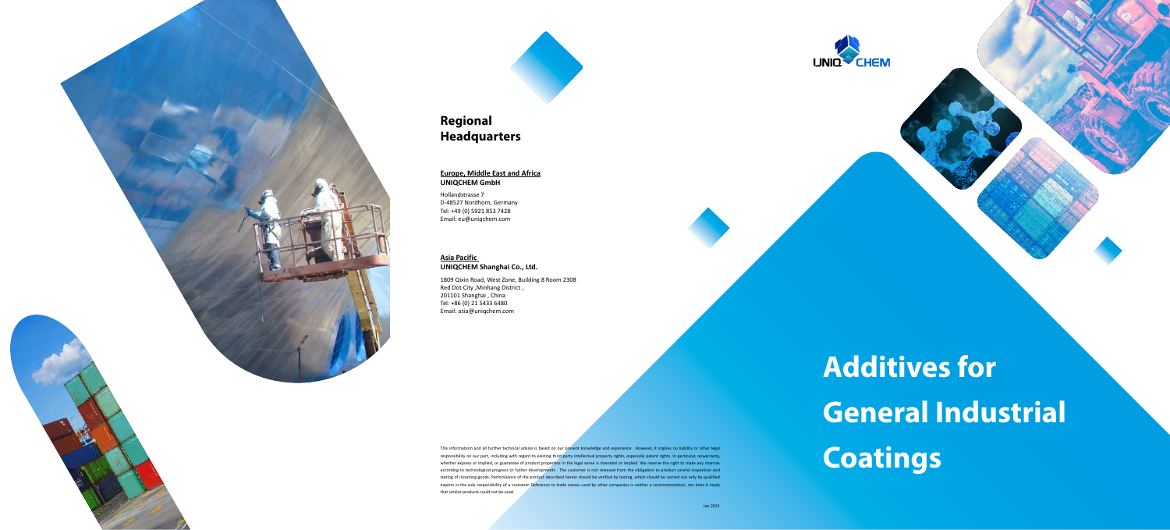

# **Regional Headquarters**

### **Europe, Middle East and Africa UNIQCHEM GmbH**

Hollandstrasse 7 D-48527 Nordhorn, Germany Tel: +49 (0) 5921 853 7428 Email: eu@uniqchem.com

### **Asia Pacific**

### **UNIQCHEM Shanghai Co., Ltd.**

1809 Qixin Road, West Zone, Building 8 Room 2308 Red Dot City ,Minhang District , 201101 Shanghai , China Tel: +86 (0) 21 5433 6480 Email: asia@uniqchem.com

# **Additives for General Industrial**

This informatiom and all further technical advice is based on our present knowledge and experience . However, it implies no liability or other legal<br>responsibility on our part, including with regard to existing third party responsibility on our part, including with regard to existing third party intellectual property rights, sepecially patent rights. In particular, nowarranty, whether express or implied, or guarantee of product properties in the legal sense is intended or implied. We reserve the right to make any chances according to technological progress or futher developments . The customer is not released from the obligation to product careful inspection and tseting of incoming goods. Perfomåance of the product described herein should be verified by testing, which should be carried out only by qualified experts in the sole responsibility of a customer. Reference to trade names used by other companies is neither a recommendation, nor does it imply that similar products could not be used.